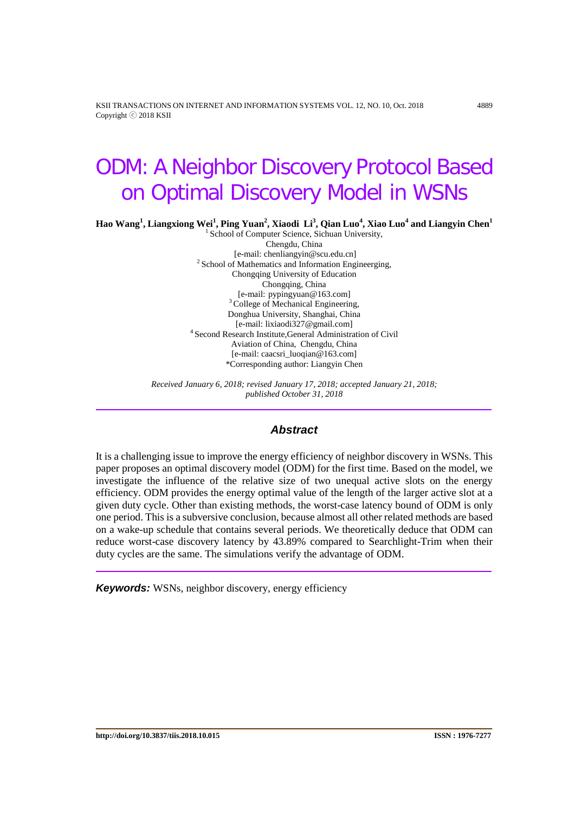KSII TRANSACTIONS ON INTERNET AND INFORMATION SYSTEMS VOL. 12, NO. 10, Oct. 2018 4889 Copyright ⓒ 2018 KSII

# ODM: A Neighbor Discovery Protocol Based on Optimal Discovery Model in WSNs

 ${\bf H}$ ao  ${\bf W}$ ang $^1$ , Liangxiong  ${\bf Wei}^1$ , Ping  ${\bf Yuan}^2$ , Xiaodi ${\bf Li}^3$ , Qian Luo $^4$ , Xiao Luo $^4$  and Liangyin Chen $^1$ 

<sup>1</sup> School of Computer Science, Sichuan University, Chengdu, China [e-mail: chenliangyin@scu.edu.cn] 2 School of Mathematics and Information Engineerging, Chongqing University of Education Chongqing, China<br>[e-mail: pypingyuan@163.com]  $3$  College of Mechanical Engineering, Donghua University, Shanghai, China<br>[e-mail: lixiaodi327@gmail.com] <sup>4</sup> Second Research Institute,General Administration of Civil Aviation of China, Chengdu, China [e-mail: caacsri\_luoqian@163.com] \*Corresponding author: Liangyin Chen

*Received January 6, 2018; revised January 17, 2018; accepted January 21, 2018; published October 31, 2018*

# *Abstract*

It is a challenging issue to improve the energy efficiency of neighbor discovery in WSNs. This paper proposes an optimal discovery model (ODM) for the first time. Based on the model, we investigate the influence of the relative size of two unequal active slots on the energy efficiency. ODM provides the energy optimal value of the length of the larger active slot at a given duty cycle. Other than existing methods, the worst-case latency bound of ODM is only one period. This is a subversive conclusion, because almost all other related methods are based on a wake-up schedule that contains several periods. We theoretically deduce that ODM can reduce worst-case discovery latency by 43.89% compared to Searchlight-Trim when their duty cycles are the same. The simulations verify the advantage of ODM.

*Keywords:* WSNs, neighbor discovery, energy efficiency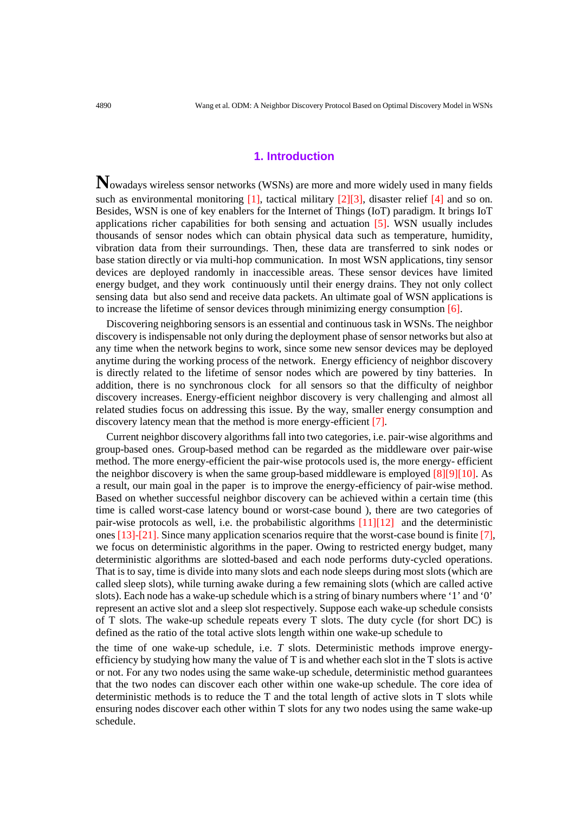# **1. Introduction**

**N**owadays wireless sensor networks (WSNs) are more and more widely used in many fields such as environmental monitoring [1], tactical military [2][3], disaster relief [4] and so on. Besides, WSN is one of key enablers for the Internet of Things (IoT) paradigm. It brings IoT applications richer capabilities for both sensing and actuation [5]. WSN usually includes thousands of sensor nodes which can obtain physical data such as temperature, humidity, vibration data from their surroundings. Then, these data are transferred to sink nodes or base station directly or via multi-hop communication. In most WSN applications, tiny sensor devices are deployed randomly in inaccessible areas. These sensor devices have limited energy budget, and they work continuously until their energy drains. They not only collect sensing data but also send and receive data packets. An ultimate goal of WSN applications is to increase the lifetime of sensor devices through minimizing energy consumption [6].

Discovering neighboring sensors is an essential and continuous task in WSNs. The neighbor discovery is indispensable not only during the deployment phase of sensor networks but also at any time when the network begins to work, since some new sensor devices may be deployed anytime during the working process of the network. Energy efficiency of neighbor discovery is directly related to the lifetime of sensor nodes which are powered by tiny batteries. In addition, there is no synchronous clock for all sensors so that the difficulty of neighbor discovery increases. Energy-efficient neighbor discovery is very challenging and almost all related studies focus on addressing this issue. By the way, smaller energy consumption and discovery latency mean that the method is more energy-efficient [7].

Current neighbor discovery algorithms fall into two categories, i.e. pair-wise algorithms and group-based ones. Group-based method can be regarded as the middleware over pair-wise method. The more energy-efficient the pair-wise protocols used is, the more energy- efficient the neighbor discovery is when the same group-based middleware is employed [8][9][10]. As a result, our main goal in the paper is to improve the energy-efficiency of pair-wise method. Based on whether successful neighbor discovery can be achieved within a certain time (this time is called worst-case latency bound or worst-case bound ), there are two categories of pair-wise protocols as well, i.e. the probabilistic algorithms [11][12] and the deterministic ones [13]-[21]. Since many application scenarios require that the worst-case bound is finite [7], we focus on deterministic algorithms in the paper. Owing to restricted energy budget, many deterministic algorithms are slotted-based and each node performs duty-cycled operations. That is to say, time is divide into many slots and each node sleeps during most slots (which are called sleep slots), while turning awake during a few remaining slots (which are called active slots). Each node has a wake-up schedule which is a string of binary numbers where '1' and '0' represent an active slot and a sleep slot respectively. Suppose each wake-up schedule consists of T slots. The wake-up schedule repeats every T slots. The duty cycle (for short DC) is defined as the ratio of the total active slots length within one wake-up schedule to

the time of one wake-up schedule, i.e. *T* slots. Deterministic methods improve energyefficiency by studying how many the value of T is and whether each slot in the T slots is active or not. For any two nodes using the same wake-up schedule, deterministic method guarantees that the two nodes can discover each other within one wake-up schedule. The core idea of deterministic methods is to reduce the T and the total length of active slots in T slots while ensuring nodes discover each other within T slots for any two nodes using the same wake-up schedule.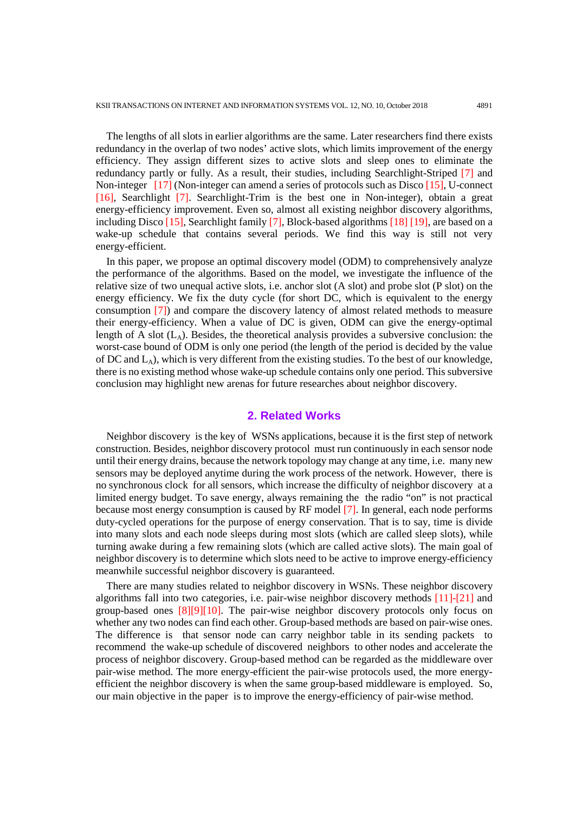The lengths of all slots in earlier algorithms are the same. Later researchers find there exists redundancy in the overlap of two nodes' active slots, which limits improvement of the energy efficiency. They assign different sizes to active slots and sleep ones to eliminate the redundancy partly or fully. As a result, their studies, including Searchlight-Striped [7] and Non-integer [17] (Non-integer can amend a series of protocols such as Disco [15], U-connect [16], Searchlight [7]. Searchlight-Trim is the best one in Non-integer), obtain a great energy-efficiency improvement. Even so, almost all existing neighbor discovery algorithms, including Disco [15], Searchlight family [7], Block-based algorithms [18] [19], are based on a wake-up schedule that contains several periods. We find this way is still not very energy-efficient.

In this paper, we propose an optimal discovery model (ODM) to comprehensively analyze the performance of the algorithms. Based on the model, we investigate the influence of the relative size of two unequal active slots, i.e. anchor slot (A slot) and probe slot (P slot) on the energy efficiency. We fix the duty cycle (for short DC, which is equivalent to the energy consumption [7]) and compare the discovery latency of almost related methods to measure their energy-efficiency. When a value of DC is given, ODM can give the energy-optimal length of A slot  $(L<sub>A</sub>)$ . Besides, the theoretical analysis provides a subversive conclusion: the worst-case bound of ODM is only one period (the length of the period is decided by the value of DC and  $L_A$ ), which is very different from the existing studies. To the best of our knowledge, there is no existing method whose wake-up schedule contains only one period. This subversive conclusion may highlight new arenas for future researches about neighbor discovery.

## **2. Related Works**

Neighbor discovery is the key of WSNs applications, because it is the first step of network construction. Besides, neighbor discovery protocol must run continuously in each sensor node until their energy drains, because the network topology may change at any time, i.e. many new sensors may be deployed anytime during the work process of the network. However, there is no synchronous clock for all sensors, which increase the difficulty of neighbor discovery at a limited energy budget. To save energy, always remaining the the radio "on" is not practical because most energy consumption is caused by RF model [7]. In general, each node performs duty-cycled operations for the purpose of energy conservation. That is to say, time is divide into many slots and each node sleeps during most slots (which are called sleep slots), while turning awake during a few remaining slots (which are called active slots). The main goal of neighbor discovery is to determine which slots need to be active to improve energy-efficiency meanwhile successful neighbor discovery is guaranteed.

There are many studies related to neighbor discovery in WSNs. These neighbor discovery algorithms fall into two categories, i.e. pair-wise neighbor discovery methods [11]-[21] and group-based ones [8][9][10]. The pair-wise neighbor discovery protocols only focus on whether any two nodes can find each other. Group-based methods are based on pair-wise ones. The difference is that sensor node can carry neighbor table in its sending packets to recommend the wake-up schedule of discovered neighbors to other nodes and accelerate the process of neighbor discovery. Group-based method can be regarded as the middleware over pair-wise method. The more energy-efficient the pair-wise protocols used, the more energyefficient the neighbor discovery is when the same group-based middleware is employed. So, our main objective in the paper is to improve the energy-efficiency of pair-wise method.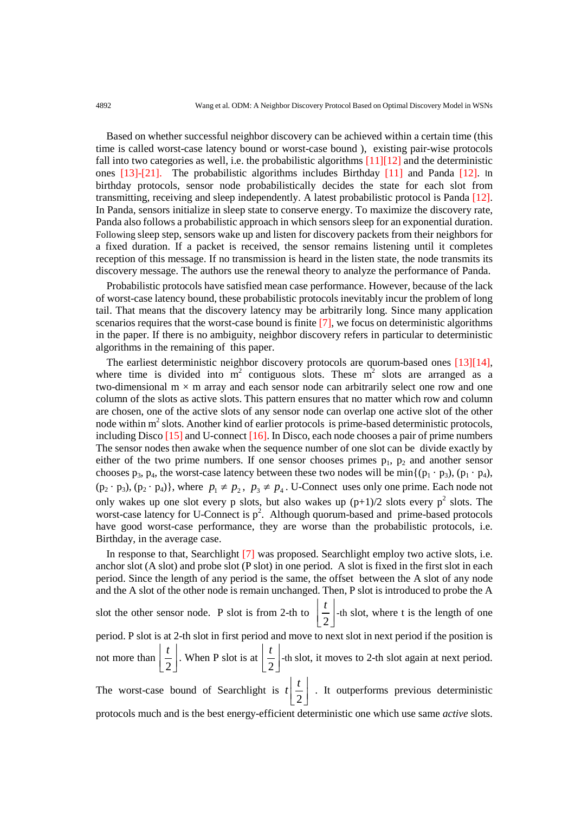Based on whether successful neighbor discovery can be achieved within a certain time (this time is called worst-case latency bound or worst-case bound ), existing pair-wise protocols fall into two categories as well, i.e. the probabilistic algorithms  $[11][12]$  and the deterministic ones [13]-[21]. The probabilistic algorithms includes Birthday [11] and Panda [12]. In birthday protocols, sensor node probabilistically decides the state for each slot from transmitting, receiving and sleep independently. A latest probabilistic protocol is Panda [12]. In Panda, sensors initialize in sleep state to conserve energy. To maximize the discovery rate, Panda also follows a probabilistic approach in which sensors sleep for an exponential duration. Following sleep step, sensors wake up and listen for discovery packets from their neighbors for a fixed duration. If a packet is received, the sensor remains listening until it completes reception of this message. If no transmission is heard in the listen state, the node transmits its discovery message. The authors use the renewal theory to analyze the performance of Panda.

Probabilistic protocols have satisfied mean case performance. However, because of the lack of worst-case latency bound, these probabilistic protocols inevitably incur the problem of long tail. That means that the discovery latency may be arbitrarily long. Since many application scenarios requires that the worst-case bound is finite [7], we focus on deterministic algorithms in the paper. If there is no ambiguity, neighbor discovery refers in particular to deterministic algorithms in the remaining of this paper.

The earliest deterministic neighbor discovery protocols are quorum-based ones [13][14], where time is divided into  $m^2$  contiguous slots. These  $m^2$  slots are arranged as a two-dimensional  $m \times m$  array and each sensor node can arbitrarily select one row and one column of the slots as active slots. This pattern ensures that no matter which row and column are chosen, one of the active slots of any sensor node can overlap one active slot of the other node within  $m<sup>2</sup>$  slots. Another kind of earlier protocols is prime-based deterministic protocols, including Disco [15] and U-connect [16]. In Disco, each node chooses a pair of prime numbers The sensor nodes then awake when the sequence number of one slot can be divide exactly by either of the two prime numbers. If one sensor chooses primes  $p_1$ ,  $p_2$  and another sensor chooses  $p_3$ ,  $p_4$ , the worst-case latency between these two nodes will be min $\{(p_1 \cdot p_3), (p_1 \cdot p_4),$  $(p_2 \cdot p_3)$ ,  $(p_2 \cdot p_4)$ , where  $p_1 \neq p_2$ ,  $p_3 \neq p_4$ . U-Connect uses only one prime. Each node not only wakes up one slot every p slots, but also wakes up  $(p+1)/2$  slots every  $p^2$  slots. The worst-case latency for U-Connect is  $p^2$ . Although quorum-based and prime-based protocols have good worst-case performance, they are worse than the probabilistic protocols, i.e. Birthday, in the average case.

In response to that, Searchlight [7] was proposed. Searchlight employ two active slots, i.e. anchor slot  $(A \text{ slot})$  and probe slot  $(P \text{ slot})$  in one period. A slot is fixed in the first slot in each period. Since the length of any period is the same, the offset between the A slot of any node and the A slot of the other node is remain unchanged. Then, P slot is introduced to probe the A slot the other sensor node. P slot is from 2-th to 2  $|t|$  $\left[\frac{1}{2}\right]$ -th slot, where t is the length of one period. P slot is at 2-th slot in first period and move to next slot in next period if the position is not more than 2  $|t|$  $\left[\frac{1}{2}\right]$ . When P slot is at  $\left[\frac{1}{2}\right]$  $|t|$  $\left[\frac{1}{2}\right]$ -th slot, it moves to 2-th slot again at next period.

The worst-case bound of Searchlight is 2  $t\left[\frac{t}{2}\right]$ . It outperforms previous deterministic protocols much and is the best energy-efficient deterministic one which use same *active* slots.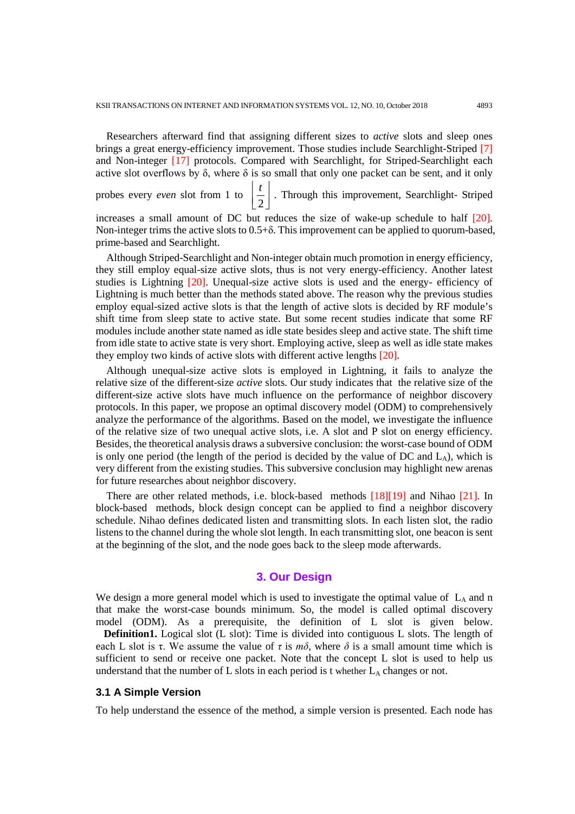Researchers afterward find that assigning different sizes to *active* slots and sleep ones brings a great energy-efficiency improvement. Those studies include Searchlight-Striped [7] and Non-integer [17] protocols. Compared with Searchlight, for Striped-Searchlight each active slot overflows by  $\delta$ , where  $\delta$  is so small that only one packet can be sent, and it only probes every *even* slot from 1 to 2  $|t|$  $\left[\frac{1}{2}\right]$ . Through this improvement, Searchlight-Striped

increases a small amount of DC but reduces the size of wake-up schedule to half [20]. Non-integer trims the active slots to  $0.5+\delta$ . This improvement can be applied to quorum-based, prime-based and Searchlight.

Although Striped-Searchlight and Non-integer obtain much promotion in energy efficiency, they still employ equal-size active slots, thus is not very energy-efficiency. Another latest studies is Lightning [20]. Unequal-size active slots is used and the energy- efficiency of Lightning is much better than the methods stated above. The reason why the previous studies employ equal-sized active slots is that the length of active slots is decided by RF module's shift time from sleep state to active state. But some recent studies indicate that some RF modules include another state named as idle state besides sleep and active state. The shift time from idle state to active state is very short. Employing active, sleep as well as idle state makes they employ two kinds of active slots with different active lengths [20].

Although unequal-size active slots is employed in Lightning, it fails to analyze the relative size of the different-size *active* slots. Our study indicates that the relative size of the different-size active slots have much influence on the performance of neighbor discovery protocols. In this paper, we propose an optimal discovery model (ODM) to comprehensively analyze the performance of the algorithms. Based on the model, we investigate the influence of the relative size of two unequal active slots, i.e. A slot and P slot on energy efficiency. Besides, the theoretical analysis draws a subversive conclusion: the worst-case bound of ODM is only one period (the length of the period is decided by the value of DC and  $L_A$ ), which is very different from the existing studies. This subversive conclusion may highlight new arenas for future researches about neighbor discovery.

There are other related methods, i.e. block-based methods [18][19] and Nihao [21]. In block-based methods, block design concept can be applied to find a neighbor discovery schedule. Nihao defines dedicated listen and transmitting slots. In each listen slot, the radio listens to the channel during the whole slot length. In each transmitting slot, one beacon is sent at the beginning of the slot, and the node goes back to the sleep mode afterwards.

# **3. Our Design**

We design a more general model which is used to investigate the optimal value of  $L_A$  and n that make the worst-case bounds minimum. So, the model is called optimal discovery model (ODM). As a prerequisite, the definition of L slot is given below.

**Definition1.** Logical slot (L slot): Time is divided into contiguous L slots. The length of each L slot is  $\tau$ . We assume the value of  $\tau$  is  $m\delta$ , where  $\delta$  is a small amount time which is sufficient to send or receive one packet. Note that the concept L slot is used to help us understand that the number of  $L$  slots in each period is t whether  $L_A$  changes or not.

## **3.1 A Simple Version**

To help understand the essence of the method, a simple version is presented. Each node has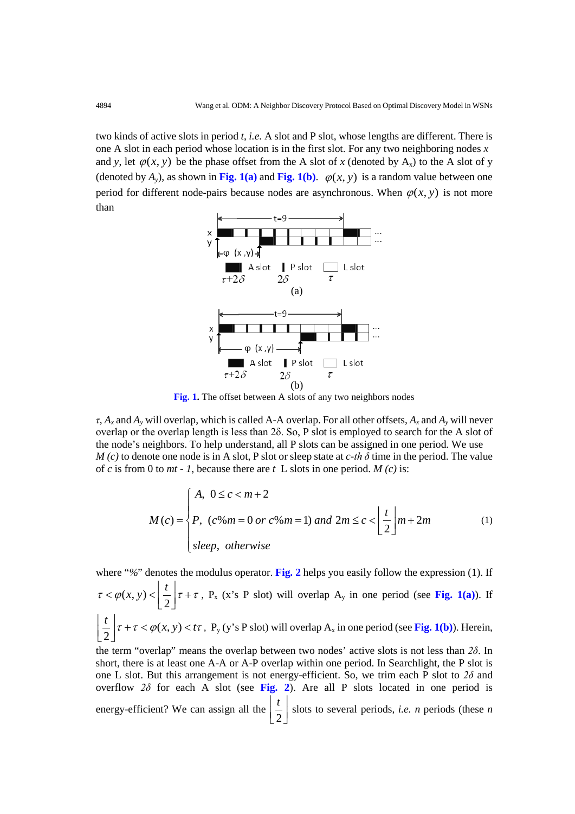two kinds of active slots in period *t*, *i.e.* A slot and P slot, whose lengths are different. There is one A slot in each period whose location is in the first slot. For any two neighboring nodes *x* and *y*, let  $\varphi(x, y)$  be the phase offset from the A slot of *x* (denoted by A<sub>x</sub>) to the A slot of y (denoted by  $A_y$ ), as shown in Fig. 1(a) and Fig. 1(b).  $\varphi(x, y)$  is a random value between one period for different node-pairs because nodes are asynchronous. When  $\varphi(x, y)$  is not more than



**Fig. 1.** The offset between A slots of any two neighbors nodes

*τ*, *Ax* and *Ay* will overlap, which is called A-A overlap. For all other offsets, *Ax* and *Ay* will never overlap or the overlap length is less than 2δ. So, P slot is employed to search for the A slot of the node's neighbors. To help understand, all P slots can be assigned in one period. We use *M (c)* to denote one node is in A slot, P slot or sleep state at *c-th δ* time in the period. The value of *c* is from 0 to *mt* - *1*, because there are  $t \, L$  slots in one period. *M* (*c*) is:

$$
M(c) = \begin{cases} A, & 0 \le c < m+2 \\ P, & (c \text{% } m=0 \text{ or } c \text{% } m=1) \text{ and } 2m \le c < \left\lfloor \frac{t}{2} \right\rfloor m + 2m \\ \text{sleep, otherwise} \end{cases} \tag{1}
$$

where "%" denotes the modulus operator. **Fig. 2** helps you easily follow the expression (1). If  $\tau < \varphi(x, y) < \left\lfloor \frac{t}{2} \right\rfloor \tau + \tau$ , P<sub>x</sub> (x's P slot) will overlap A<sub>y</sub> in one period (see Fig. 1(a)). If  $\left(\frac{t}{2}\right)\tau + \tau < \varphi(x, y) < t\tau$ , P<sub>y</sub> (y's P slot) will overlap A<sub>x</sub> in one period (see **Fig. 1(b)**). Herein, the term "overlap" means the overlap between two nodes' active slots is not less than *2δ*. In short, there is at least one A-A or A-P overlap within one period. In Searchlight, the P slot is one L slot. But this arrangement is not energy-efficient. So, we trim each P slot to  $2\delta$  and overflow  $2\delta$  for each A slot (see Fig. 2). Are all P slots located in one period is

energy-efficient? We can assign all the  $\frac{1}{2}$  $|t|$  $\left[\frac{1}{2}\right]$  slots to several periods, *i.e. n* periods (these *n*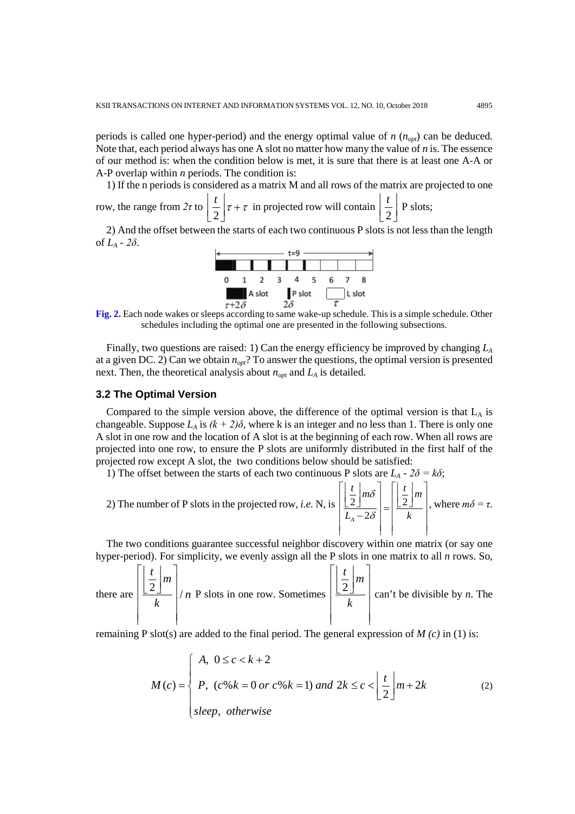periods is called one hyper-period) and the energy optimal value of  $n(n_{opt})$  can be deduced. Note that, each period always has one A slot no matter how many the value of *n* is. The essence of our method is: when the condition below is met, it is sure that there is at least one A-A or A-P overlap within *n* periods. The condition is:

1) If the n periods is considered as a matrix M and all rows of the matrix are projected to one

row, the range from *2τ* to 2  $\frac{t}{-\tau}$  $\left[\frac{t}{2}\right]\tau + \tau$  in projected row will contain  $\left[\frac{t}{2}\right]$  *t*  $\left[\frac{1}{2}\right]$  P slots;

2) And the offset between the starts of each two continuous P slots is not less than the length of *LA - 2δ*.



**Fig. 2.** Each node wakes or sleeps according to same wake-up schedule. This is a simple schedule. Other schedules including the optimal one are presented in the following subsections.

Finally, two questions are raised: 1) Can the energy efficiency be improved by changing *LA* at a given DC. 2) Can we obtain *nopt*? To answer the questions, the optimal version is presented next. Then, the theoretical analysis about  $n_{opt}$  and  $L_A$  is detailed.

#### **3.2 The Optimal Version**

Compared to the simple version above, the difference of the optimal version is that  $L_A$  is changeable. Suppose  $L_A$  is  $(k + 2)\delta$ , where k is an integer and no less than 1. There is only one A slot in one row and the location of A slot is at the beginning of each row. When all rows are projected into one row, to ensure the P slots are uniformly distributed in the first half of the projected row except A slot, the two conditions below should be satisfied:

1) The offset between the starts of each two continuous P slots are  $L_A$  -  $2\delta = k\delta$ ;

2) The number of P slots in the projected row, *i.e.* N, is 
$$
\left| \frac{\frac{t}{2}}{\frac{1}{2}} \right| m \delta \left| = \frac{\frac{t}{2}}{\frac{1}{2}} m \right|
$$
, where  $m\delta = \tau$ .

The two conditions guarantee successful neighbor discovery within one matrix (or say one hyper-period). For simplicity, we evenly assign all the P slots in one matrix to all *n* rows. So,

there are 
$$
\left|\frac{\left|\frac{t}{2}\right|m}{k}\right|/n
$$
 P slots in one row. Sometimes  $\left|\frac{\left|\frac{t}{2}\right|m}{k}\right|$  can't be divisible by *n*. The

remaining P slot(s) are added to the final period. The general expression of *M (c)* in (1) is:

$$
M(c) = \begin{cases} A, & 0 \le c < k+2 \\ P, & (c \cdot 6k = 0 \text{ or } c \cdot 6k = 1) \text{ and } 2k \le c < \left\lfloor \frac{t}{2} \right\rfloor m + 2k \\ \text{sleep, otherwise} \end{cases} \tag{2}
$$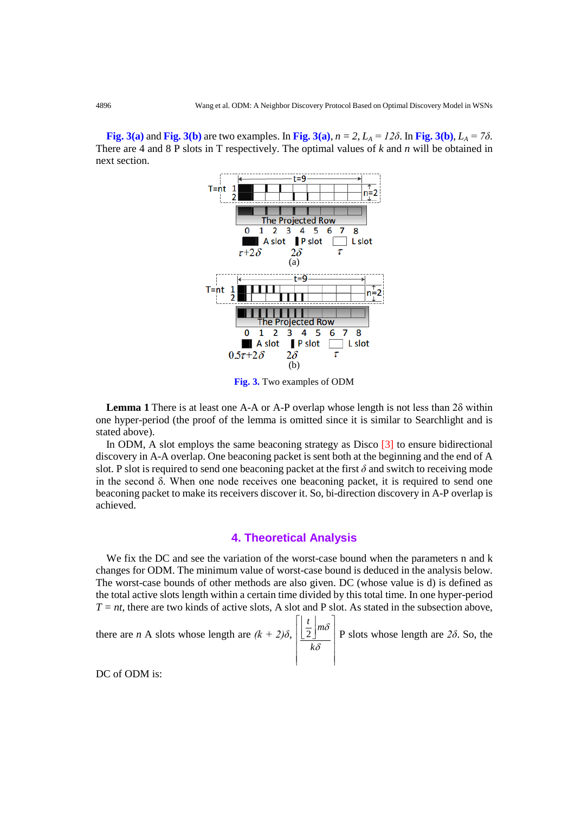**Fig. 3(a)** and **Fig. 3(b)** are two examples. In Fig. 3(a),  $n = 2$ ,  $L_A = 12\delta$ . In Fig. 3(b),  $L_A = 7\delta$ . There are 4 and 8 P slots in T respectively. The optimal values of *k* and *n* will be obtained in next section.



**Fig. 3.** Two examples of ODM

**Lemma 1** There is at least one A-A or A-P overlap whose length is not less than 2δ within one hyper-period (the proof of the lemma is omitted since it is similar to Searchlight and is stated above).

In ODM, A slot employs the same beaconing strategy as Disco  $\lceil 3 \rceil$  to ensure bidirectional discovery in A-A overlap. One beaconing packet is sent both at the beginning and the end of A slot. P slot is required to send one beaconing packet at the first *δ* and switch to receiving mode in the second  $\delta$ . When one node receives one beaconing packet, it is required to send one beaconing packet to make its receivers discover it. So, bi-direction discovery in A-P overlap is achieved.

## **4. Theoretical Analysis**

We fix the DC and see the variation of the worst-case bound when the parameters n and k changes for ODM. The minimum value of worst-case bound is deduced in the analysis below. The worst-case bounds of other methods are also given. DC (whose value is d) is defined as the total active slots length within a certain time divided by this total time. In one hyper-period  $T = nt$ , there are two kinds of active slots, A slot and P slot. As stated in the subsection above,

there are *n* A slots whose length are 
$$
(k + 2)\delta
$$
,  $\left| \frac{\left(\frac{t}{2}\right) m\delta}{k\delta} \right|$  P slots whose length are 2 $\delta$ . So, the

DC of ODM is: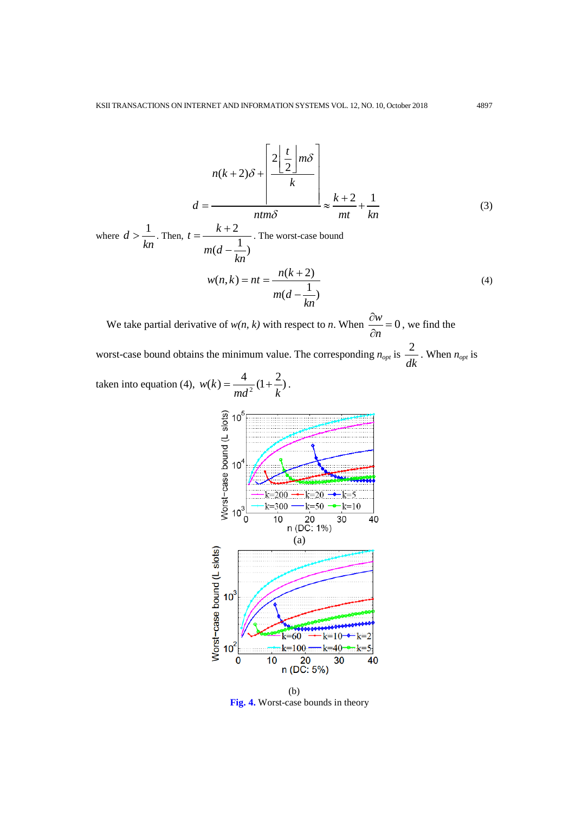$$
n(k+2)\delta + \frac{2\left\lfloor \frac{t}{2} \right\rfloor m\delta}{k}
$$

$$
d = \frac{n m \delta}{\frac{n m \delta}{\delta}} \approx \frac{k+2}{m t} + \frac{1}{k n}
$$
(3)

where  $d > \frac{1}{1}$ *kn*  $>$  $\frac{1}{1}$ . Then,  $t = \frac{k+2}{1}$  $(d - \frac{1}{1})$  $t = \frac{k}{-k}$ *m d kn*  $=\frac{k+1}{k+1}$ − . The worst-case bound  $w(n, k) = nt = \frac{n(k + 2)}{m(d - \frac{1}{k})}$ *m d kn*  $= nt = \frac{n(k + 1)}{2}$ − (4)

We take partial derivative of  $w(n, k)$  with respect to *n*. When  $\frac{\partial w}{\partial n} = 0$  $\frac{\partial w}{\partial n} = 0$ , we find the

worst-case bound obtains the minimum value. The corresponding  $n_{opt}$  is  $\frac{2}{n}$ *dk* . When  $n_{opt}$  is

taken into equation (4), 
$$
w(k) = \frac{4}{md^2} (1 + \frac{2}{k})
$$
.



**Fig. 4.** Worst-case bounds in theory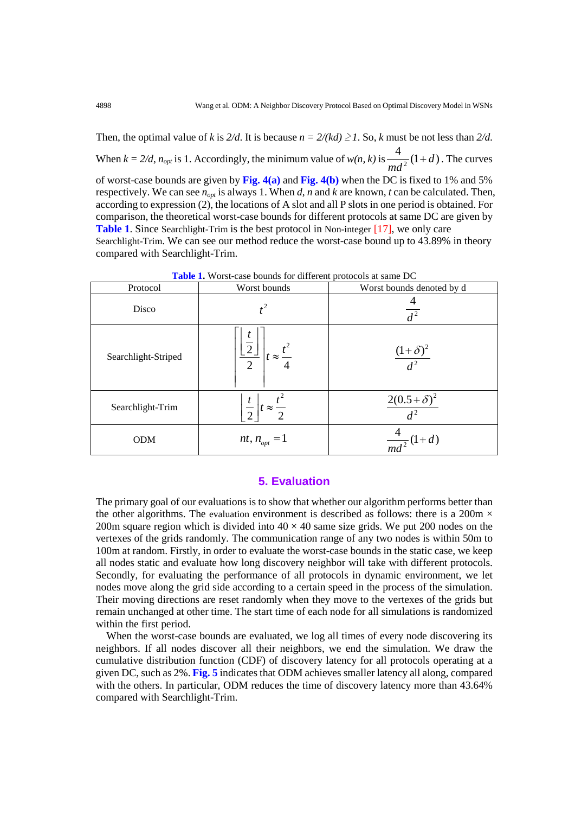Then, the optimal value of *k* is  $2/d$ . It is because  $n = 2/(kd) \ge 1$ . So, *k* must be not less than  $2/d$ . When  $k = 2/d$ ,  $n_{opt}$  is 1. Accordingly, the minimum value of  $w(n, k)$  is  $\frac{4}{nd^2}(1+d)$ *md*  $+ d$ ). The curves of worst-case bounds are given by **Fig. 4(a)** and **Fig. 4(b)** when the DC is fixed to 1% and 5% respectively. We can see *nopt* is always 1. When *d*, *n* and *k* are known, *t* can be calculated. Then, according to expression (2), the locations of A slot and all P slots in one period is obtained. For comparison, the theoretical worst-case bounds for different protocols at same DC are given by **Table 1**. Since Searchlight-Trim is the best protocol in Non-integer [17], we only care Searchlight-Trim. We can see our method reduce the worst-case bound up to 43.89% in theory compared with Searchlight-Trim.

| Protocol            | Worst bounds                                        | Worst bounds denoted by d     |
|---------------------|-----------------------------------------------------|-------------------------------|
| Disco               |                                                     | $d^2$                         |
| Searchlight-Striped | $-2$<br>$t \approx \frac{t^2}{4}$<br>$\overline{2}$ | $\frac{(1+\delta)^2}{d^2}$    |
| Searchlight-Trim    | $rac{t}{2}$ $t \approx \frac{t^2}{2}$               | $\frac{2(0.5+\delta)^2}{d^2}$ |
| <b>ODM</b>          | $nt, n_{opt} = 1$                                   | $\frac{4}{md^2}(1+d)$         |

**Table 1.** Worst-case bounds for different protocols at same DC

# **5. Evaluation**

The primary goal of our evaluations is to show that whether our algorithm performs better than the other algorithms. The evaluation environment is described as follows: there is a 200m  $\times$ 200m square region which is divided into  $40 \times 40$  same size grids. We put 200 nodes on the vertexes of the grids randomly. The communication range of any two nodes is within 50m to 100m at random. Firstly, in order to evaluate the worst-case bounds in the static case, we keep all nodes static and evaluate how long discovery neighbor will take with different protocols. Secondly, for evaluating the performance of all protocols in dynamic environment, we let nodes move along the grid side according to a certain speed in the process of the simulation. Their moving directions are reset randomly when they move to the vertexes of the grids but remain unchanged at other time. The start time of each node for all simulations is randomized within the first period.

When the worst-case bounds are evaluated, we log all times of every node discovering its neighbors. If all nodes discover all their neighbors, we end the simulation. We draw the cumulative distribution function (CDF) of discovery latency for all protocols operating at a given DC, such as 2%. **Fig. 5** indicates that ODM achieves smaller latency all along, compared with the others. In particular, ODM reduces the time of discovery latency more than 43.64% compared with Searchlight-Trim.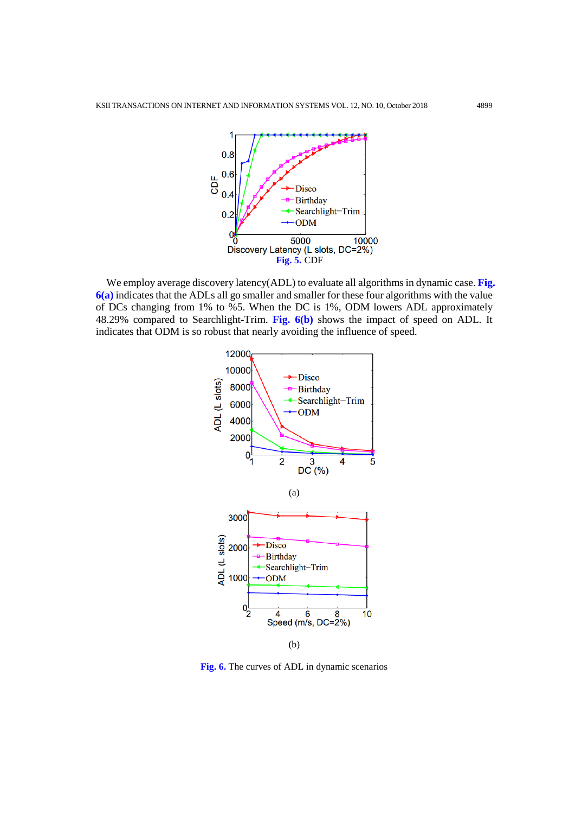

We employ average discovery latency(ADL) to evaluate all algorithms in dynamic case. Fig. **6(a)** indicates that the ADLs all go smaller and smaller for these four algorithms with the value of DCs changing from 1% to %5. When the DC is 1%, ODM lowers ADL approximately 48.29% compared to Searchlight-Trim. **Fig. 6(b)** shows the impact of speed on ADL. It indicates that ODM is so robust that nearly avoiding the influence of speed.



**Fig. 6.** The curves of ADL in dynamic scenarios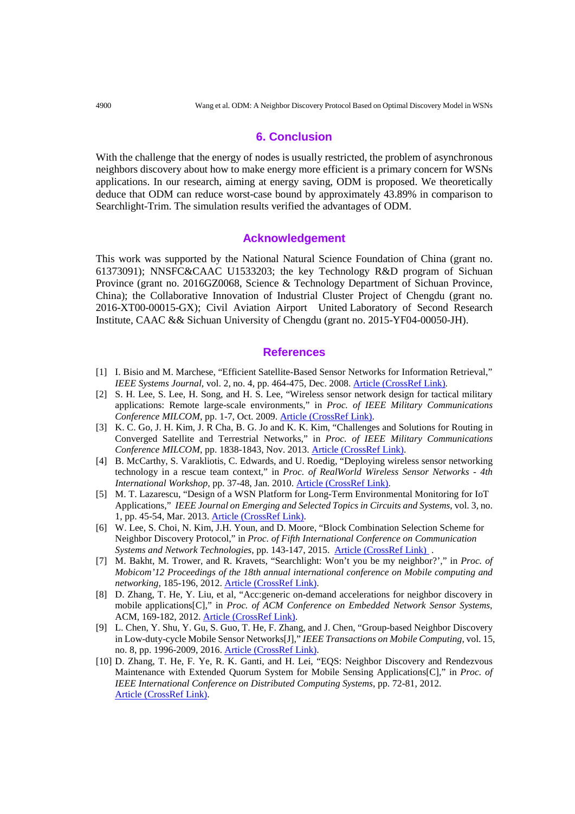## **6. Conclusion**

With the challenge that the energy of nodes is usually restricted, the problem of asynchronous neighbors discovery about how to make energy more efficient is a primary concern for WSNs applications. In our research, aiming at energy saving, ODM is proposed. We theoretically deduce that ODM can reduce worst-case bound by approximately 43.89% in comparison to Searchlight-Trim. The simulation results verified the advantages of ODM.

## **Acknowledgement**

This work was supported by the National Natural Science Foundation of China (grant no. 61373091); NNSFC&CAAC U1533203; the key Technology R&D program of Sichuan Province (grant no. 2016GZ0068, Science & Technology Department of Sichuan Province, China); the Collaborative Innovation of Industrial Cluster Project of Chengdu (grant no. 2016-XT00-00015-GX); Civil Aviation Airport United Laboratory of Second Research Institute, CAAC && Sichuan University of Chengdu (grant no. 2015-YF04-00050-JH).

#### **References**

- [1] I. Bisio and M. Marchese, "Efficient Satellite-Based Sensor Networks for Information Retrieval," *IEEE Systems Journal*, vol. 2, no. 4, pp. 464-475, Dec. 2008. **Article (CrossRef Link)**.
- [2] S. H. Lee, S. Lee, H. Song, and H. S. Lee, "Wireless sensor network design for tactical military applications: Remote large-scale environments," in *Proc. of IEEE Military Communications Conference MILCOM*, pp. 1-7, Oct. 2009. [Article \(CrossRef Link\).](http://dx.doi.org/10.1109/MILCOM.2009.5379900)
- [3] K. C. Go, J. H. Kim, J. R Cha, B. G. Jo and K. K. Kim, "Challenges and Solutions for Routing in Converged Satellite and Terrestrial Networks," in *Proc. of IEEE Military Communications Conference MILCOM*, pp. 1838-1843, Nov. 2013. [Article \(CrossRef Link\).](http://dx.doi.org/10.1109/MILCOM.2013.310)
- [4] B. McCarthy, S. Varakliotis, C. Edwards, and U. Roedig, "Deploying wireless sensor networking technology in a rescue team context," in *Proc. of RealWorld Wireless Sensor Networks - 4th International Workshop*, pp. 37-48, Jan. 2010. [Article \(CrossRef Link\).](http://dx.doi.org/10.1007/978-3-642-17520-6_4)
- [5] M. T. Lazarescu, "Design of a WSN Platform for Long-Term Environmental Monitoring for IoT Applications," *IEEE Journal on Emerging and Selected Topics in Circuits and Systems*, vol. 3, no. 1, pp. 45-54, Mar. 2013. [Article \(CrossRef Link\).](http://dx.doi.org/10.1109/JETCAS.2013.2243032)
- [6] W. Lee, S. Choi, N. Kim, J.H. Youn, and D. Moore, "Block Combination Selection Scheme for Neighbor Discovery Protocol," in *Proc. of Fifth International Conference on Communication Systems and Network Technologies*, pp. 143-147, 2015. [Article \(CrossRef Link\) .](http://dx.doi.org/10.1109/CSNT.2015.251)
- [7] M. Bakht, M. Trower, and R. Kravets, "Searchlight: Won't you be my neighbor?'," in *Proc. of Mobicom'12 Proceedings of the 18th annual international conference on Mobile computing and networking*, 185-196, 2012. [Article \(CrossRef Link\).](http://dx.doi.org/10.1145/2348543.2348568)
- [8] D. Zhang, T. He, Y. Liu, et al, "Acc:generic on-demand accelerations for neighbor discovery in mobile applications[C]," in *Proc. of ACM Conference on Embedded Network Sensor Systems*, ACM, 169-182, 2012. [Article \(CrossRef Link\).](http://dx.doi.org/10.1145/2426656.2426674)
- [9] L. Chen, Y. Shu, Y. Gu, S. Guo, T. He, F. Zhang, and J. Chen, "Group-based Neighbor Discovery in Low-duty-cycle Mobile Sensor Networks[J]," *IEEE Transactions on Mobile Computing*, vol. 15, no. 8, pp. 1996-2009, 2016. [Article \(CrossRef Link\).](http://dx.doi.org/10.1109/TMC.2015.2476471)
- [10] D. Zhang, T. He, F. Ye, R. K. Ganti, and H. Lei, "EQS: Neighbor Discovery and Rendezvous Maintenance with Extended Quorum System for Mobile Sensing Applications[C]," in *Proc. of IEEE International Conference on Distributed Computing Systems*, pp. 72-81, 2012. Article (CrossRef Link).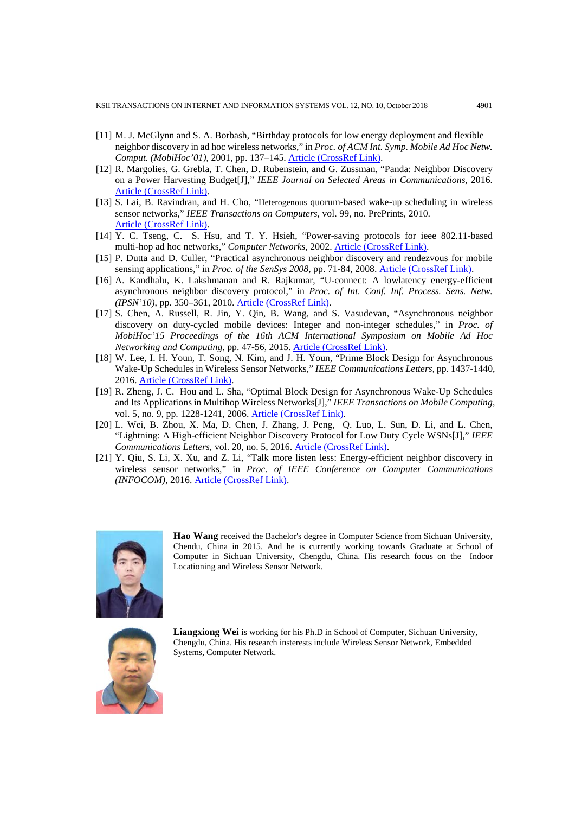- [11] M. J. McGlynn and S. A. Borbash, "Birthday protocols for low energy deployment and flexible neighbor discovery in ad hoc wireless networks," in *Proc. of ACM Int. Symp. Mobile Ad Hoc Netw. Comput. (MobiHoc'01)*, 2001, pp. 137–145. [Article \(CrossRef Link\).](http://dx.doi.org/10.1145/501416.501435)
- [12] R. Margolies, G. Grebla, T. Chen, D. Rubenstein, and G. Zussman, "Panda: Neighbor Discovery on a Power Harvesting Budget[J]," *IEEE Journal on Selected Areas in Communications*, 2016. [Article \(CrossRef Link\).](http://dx.doi.org/10.1109/JSAC.2016.2611984)
- [13] S. Lai, B. Ravindran, and H. Cho, "Heterogenous quorum-based wake-up scheduling in wireless sensor networks," *IEEE Transactions on Computers*, vol. 99, no. PrePrints, 2010. Article (CrossRef Link).
- [14] Y. C. Tseng, C. S. Hsu, and T. Y. Hsieh, "Power-saving protocols for ieee 802.11-based multi-hop ad hoc networks," *[Computer Networks](https://www.sciencedirect.com/science/journal/13891286)*, 2002. [Article \(CrossRef Link\).](http://dx.doi.org/10.1016/S1389-1286(03)00284-6)
- [15] P. Dutta and D. Culler, "Practical asynchronous neighbor discovery and rendezvous for mobile sensing applications," in *Proc. of the SenSys 2008*, pp. 71-84, 2008. Article (CrossRef Link).
- [16] A. Kandhalu, K. Lakshmanan and R. Rajkumar, "U-connect: A lowlatency energy-efficient asynchronous neighbor discovery protocol," in *Proc. of Int. Conf. Inf. Process. Sens. Netw. (IPSN'10)*, pp. 350–361, 2010. [Article \(CrossRef Link\).](http://dx.doi.org/10.1145/1791212.1791253)
- [17] S. Chen, A. Russell, R. Jin, Y. Qin, B. Wang, and S. Vasudevan, "Asynchronous neighbor discovery on duty-cycled mobile devices: Integer and non-integer schedules," in *Proc. of MobiHoc'15 Proceedings of the 16th ACM International Symposium on Mobile Ad Hoc Networking and Computing*, pp. 47-56, 2015. [Article \(CrossRef Link\).](http://dx.doi.org/10.1145/2746285.2746297)
- [18] W. Lee, I. H. Youn, T. Song, N. Kim, and J. H. Youn, "Prime Block Design for Asynchronous Wake-Up Schedules in Wireless Sensor Networks," *IEEE Communications Letters*, pp. 1437-1440, 2016. [Article \(CrossRef Link\).](http://dx.doi.org/10.1109/LCOMM.2016.2564971)
- [19] R. Zheng, J. C. Hou and L. Sha, "Optimal Block Design for Asynchronous Wake-Up Schedules and Its Applications in Multihop Wireless Networks[J]," *IEEE Transactions on Mobile Computing*, vol. 5, no. 9, pp. 1228-1241, 2006. [Article \(CrossRef Link\).](http://dx.doi.org/10.1109/TMC.2006.134)
- [20] L. Wei, B. Zhou, X. Ma, D. Chen, J. Zhang, J. Peng, Q. Luo, L. Sun, D. Li, and L. Chen, "Lightning: A High-efficient Neighbor Discovery Protocol for Low Duty Cycle WSNs[J]," *IEEE Communications Letters*, vol. 20, no. 5, 2016. [Article \(CrossRef Link\).](http://dx.doi.org/10.1109/LCOMM.2016.2536018)
- [21] Y. Qiu, S. Li, X. Xu, and Z. Li, "Talk more listen less: Energy-efficient neighbor discovery in wireless sensor networks," in *Proc. of IEEE Conference on Computer Communications (INFOCOM)*, 2016. [Article \(CrossRef Link\).](http://dx.doi.org/10.1109/INFOCOM.2016.7524336)



**Hao Wang** received the Bachelor's degree in Computer Science from Sichuan University, Chendu, China in 2015. And he is currently working towards Graduate at School of Computer in Sichuan University, Chengdu, China. His research focus on the Indoor Locationing and Wireless Sensor Network.



**Liangxiong Wei** is working for his Ph.D in School of Computer, Sichuan University, Chengdu, China. His research insterests include Wireless Sensor Network, Embedded Systems, Computer Network.